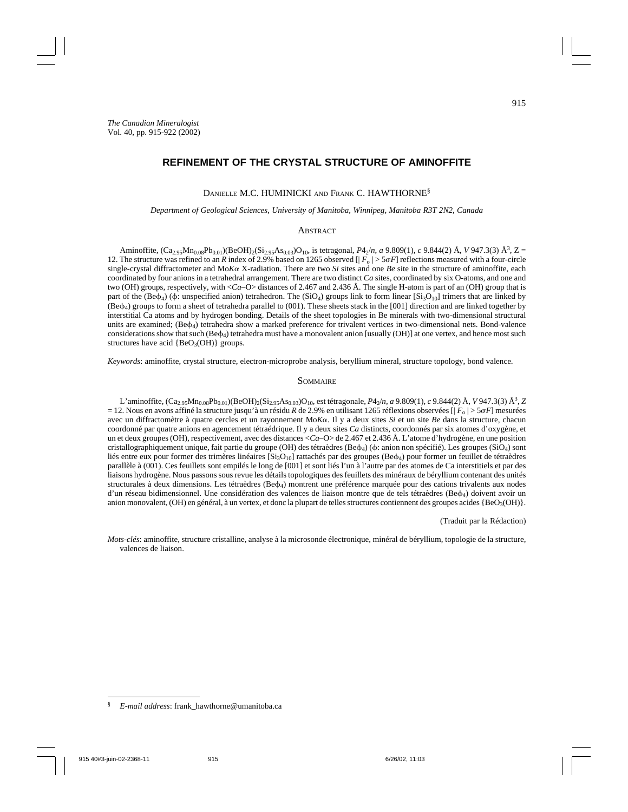## DANIELLE M.C. HUMINICKI AND FRANK C. HAWTHORNE§

#### *Department of Geological Sciences, University of Manitoba, Winnipeg, Manitoba R3T 2N2, Canada*

# **ABSTRACT**

Aminoffite,  $(Ca_{2.95}Mn_{0.08}Pb_{0.01})(BeOH)_{2}(Si_{2.95}As_{0.03})O_{10}$ , is tetragonal,  $P4_{2}/n$ , *a* 9.809(1), *c* 9.844(2) Å, *V* 947.3(3) Å<sup>3</sup>, Z = 12. The structure was refined to an *R* index of 2.9% based on 1265 observed  $[|F_0| > 5\sigma F]$  reflections measured with a four-circle single-crystal diffractometer and  $M \circ K \circ X$ -radiation. There are two *Si* sites and one *Be* site in the structure of aminoffite, each coordinated by four anions in a tetrahedral arrangement. There are two distinct *Ca* sites, coordinated by six O-atoms, and one and two (OH) groups, respectively, with <*Ca*–O> distances of 2.467 and 2.436 Å. The single H-atom is part of an (OH) group that is part of the (Be $\phi_4$ ) ( $\phi$ : unspecified anion) tetrahedron. The (SiO<sub>4</sub>) groups link to form linear [Si<sub>3</sub>O<sub>10</sub>] trimers that are linked by (Be4) groups to form a sheet of tetrahedra parallel to (001). These sheets stack in the [001] direction and are linked together by interstitial Ca atoms and by hydrogen bonding. Details of the sheet topologies in Be minerals with two-dimensional structural units are examined;  $(Be4)$  tetrahedra show a marked preference for trivalent vertices in two-dimensional nets. Bond-valence considerations show that such ( $Bed_4$ ) tetrahedra must have a monovalent anion [usually (OH)] at one vertex, and hence most such structures have acid  ${BeO<sub>3</sub>(OH)}$  groups.

*Keywords*: aminoffite, crystal structure, electron-microprobe analysis, beryllium mineral, structure topology, bond valence.

## **SOMMAIRE**

L'aminoffite, (Ca2.95Mn0.08Pb0.01)(BeOH)2(Si2.95As0.03)O10, est tétragonale, *P*42/*n*, *a* 9.809(1), *c* 9.844(2) Å, *V* 947.3(3) Å3, *Z* = 12. Nous en avons affiné la structure jusqu'à un résidu *R* de 2.9% en utilisant 1265 réflexions observées [| *F*<sup>o</sup> | > 5*F*] mesurées avec un diffractomètre à quatre cercles et un rayonnement Mo*K* $\alpha$ . Il y a deux sites *Si* et un site *Be* dans la structure, chacun coordonné par quatre anions en agencement tétraédrique. Il y a deux sites *Ca* distincts, coordonnés par six atomes d'oxygène, et un et deux groupes (OH), respectivement, avec des distances <*Ca*–O> de 2.467 et 2.436 Å. L'atome d'hydrogène, en une position cristallographiquement unique, fait partie du groupe (OH) des tétraèdres (Be $\phi_4$ ) ( $\phi$ : anion non spécifié). Les groupes (SiO<sub>4</sub>) sont liés entre eux pour former des trimères linéaires  $[Si<sub>3</sub>O<sub>10</sub>]$  rattachés par des groupes (Be $\phi$ <sub>4</sub>) pour former un feuillet de tétraèdres parallèle à (001). Ces feuillets sont empilés le long de [001] et sont liés l'un à l'autre par des atomes de Ca interstitiels et par des liaisons hydrogène. Nous passons sous revue les détails topologiques des feuillets des minéraux de béryllium contenant des unités structurales à deux dimensions. Les tétraèdres ( $Be\phi_4$ ) montrent une préférence marquée pour des cations trivalents aux nodes d'un réseau bidimensionnel. Une considération des valences de liaison montre que de tels tétraèdres (Be4) doivent avoir un anion monovalent, (OH) en général, à un vertex, et donc la plupart de telles structures contiennent des groupes acides {BeO<sub>3</sub>(OH)}.

(Traduit par la Rédaction)

*Mots-clés*: aminoffite, structure cristalline, analyse à la microsonde électronique, minéral de béryllium, topologie de la structure, valences de liaison.

<sup>§</sup> *E-mail address*: frank\_hawthorne@umanitoba.ca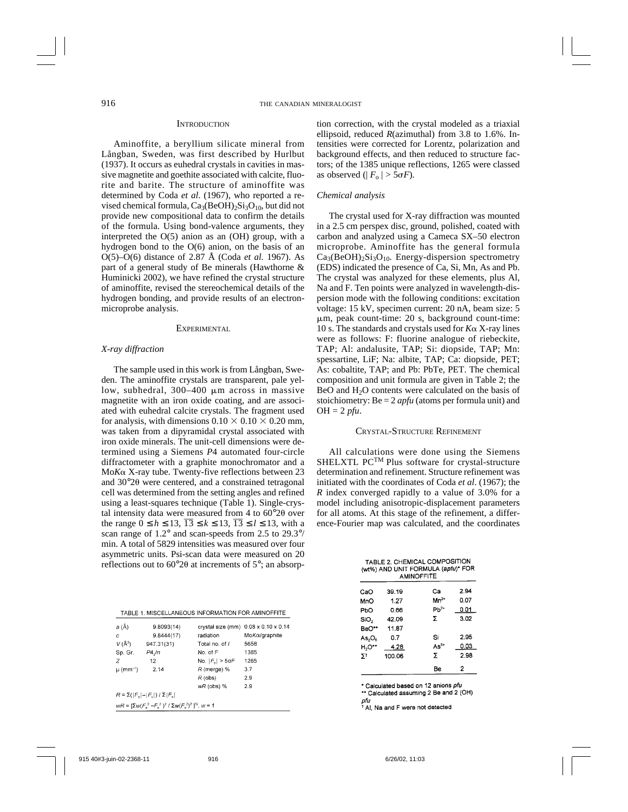#### **INTRODUCTION**

Aminoffite, a beryllium silicate mineral from Långban, Sweden, was first described by Hurlbut (1937). It occurs as euhedral crystals in cavities in massive magnetite and goethite associated with calcite, fluorite and barite. The structure of aminoffite was determined by Coda *et al*. (1967), who reported a revised chemical formula,  $Ca_3(BeOH)_2Si_3O_{10}$ , but did not provide new compositional data to confirm the details of the formula. Using bond-valence arguments, they interpreted the O(5) anion as an (OH) group, with a hydrogen bond to the O(6) anion, on the basis of an O(5)–O(6) distance of 2.87 Å (Coda *et al.* 1967). As part of a general study of Be minerals (Hawthorne & Huminicki 2002), we have refined the crystal structure of aminoffite, revised the stereochemical details of the hydrogen bonding, and provide results of an electronmicroprobe analysis.

### EXPERIMENTAL

### *X-ray diffraction*

The sample used in this work is from Långban, Sweden. The aminoffite crystals are transparent, pale yellow, subhedral,  $300-400$   $\mu$ m across in massive magnetite with an iron oxide coating, and are associated with euhedral calcite crystals. The fragment used for analysis, with dimensions  $0.10 \times 0.10 \times 0.20$  mm, was taken from a dipyramidal crystal associated with iron oxide minerals. The unit-cell dimensions were determined using a Siemens *P*4 automated four-circle diffractometer with a graphite monochromator and a Mo*K*- X-ray tube. Twenty-five reflections between 23 and  $30^{\circ}2\theta$  were centered, and a constrained tetragonal cell was determined from the setting angles and refined using a least-squares technique (Table 1). Single-crystal intensity data were measured from 4 to  $60^{\circ}2\theta$  over the range  $0 \le h \le 13$ ,  $\overline{13} \le k \le 13$ ,  $\overline{13} \le l \le 13$ , with a scan range of 1.2° and scan-speeds from 2.5 to 29.3°/ min. A total of 5829 intensities was measured over four asymmetric units. Psi-scan data were measured on 20 reflections out to  $60^{\circ}2\theta$  at increments of  $5^{\circ}$ ; an absorp-

|  |  | TABLE 1. MISCELLANEOUS INFORMATION FOR AMINOFFITE |
|--|--|---------------------------------------------------|

| a (Å)<br>с<br>$V(\AA^3)$<br>Sp. Gr.<br>Z.<br>$\mu$ (mm <sup>-1</sup> )                   | 9.8093(14)<br>9.8444(17)<br>947.31(31)<br>P4.Jn<br>12<br>2.14 | radiation<br>Total no. of /<br>No. of $F$<br>No. $ F_{\rm o}  > 5$ o $F$<br>$R$ (merge) %<br>$R$ (obs) | crystal size (mm) 0.08 x 0.10 x 0.14<br>Mo <i>Kα/graphite</i><br>5658<br>1385<br>1265<br>3.7<br>2.9 |  |  |  |  |
|------------------------------------------------------------------------------------------|---------------------------------------------------------------|--------------------------------------------------------------------------------------------------------|-----------------------------------------------------------------------------------------------------|--|--|--|--|
|                                                                                          |                                                               | $wR$ (obs) $%$                                                                                         | 2.9                                                                                                 |  |  |  |  |
| $R = \Sigma( F_n  -  F_n )/\Sigma F_n $                                                  |                                                               |                                                                                                        |                                                                                                     |  |  |  |  |
| $wR = [\Sigma w (F_{0}^{2} - F_{1}^{2})^{2} / \Sigma w (F_{0}^{2})^{2}]^{1/2}$ , $w = 1$ |                                                               |                                                                                                        |                                                                                                     |  |  |  |  |

tion correction, with the crystal modeled as a triaxial ellipsoid, reduced *R*(azimuthal) from 3.8 to 1.6%. Intensities were corrected for Lorentz, polarization and background effects, and then reduced to structure factors; of the 1385 unique reflections, 1265 were classed as observed ( $|F_{0}| > 5\sigma F$ ).

## *Chemical analysis*

The crystal used for X-ray diffraction was mounted in a 2.5 cm perspex disc, ground, polished, coated with carbon and analyzed using a Cameca SX–50 electron microprobe. Aminoffite has the general formula  $Ca<sub>3</sub>(BeOH)<sub>2</sub>Si<sub>3</sub>O<sub>10</sub>$ . Energy-dispersion spectrometry (EDS) indicated the presence of Ca, Si, Mn, As and Pb. The crystal was analyzed for these elements, plus Al, Na and F. Ten points were analyzed in wavelength-dispersion mode with the following conditions: excitation voltage: 15 kV, specimen current: 20 nA, beam size: 5  $\mu$ m, peak count-time: 20 s, background count-time: 10 s. The standards and crystals used for  $K\alpha$  X-ray lines were as follows: F: fluorine analogue of riebeckite, TAP; Al: andalusite, TAP; Si: diopside, TAP; Mn: spessartine, LiF; Na: albite, TAP; Ca: diopside, PET; As: cobaltite, TAP; and Pb: PbTe, PET. The chemical composition and unit formula are given in Table 2; the  $BeO$  and  $H<sub>2</sub>O$  contents were calculated on the basis of stoichiometry: Be = 2 *apfu* (atoms per formula unit) and OH = 2 *pfu*.

# CRYSTAL-STRUCTURE REFINEMENT

All calculations were done using the Siemens SHELXTL PCTM Plus software for crystal-structure determination and refinement. Structure refinement was initiated with the coordinates of Coda *et al*. (1967); the *R* index converged rapidly to a value of 3.0% for a model including anisotropic-displacement parameters for all atoms. At this stage of the refinement, a difference-Fourier map was calculated, and the coordinates

|                    | TABLE 2. CHEMICAL COMPOSITION<br>(wt%) AND UNIT FORMULA (apfu)* FOR<br><b>AMINOFFITE</b> |           |      |  |  |  |
|--------------------|------------------------------------------------------------------------------------------|-----------|------|--|--|--|
| CaO                | 39.19                                                                                    | Cа        | 2.94 |  |  |  |
| MnO                | 1.27                                                                                     | $Mn^{2*}$ | 0.07 |  |  |  |
| PbO                | 0.66                                                                                     | $Ph2+$    | 0.01 |  |  |  |
| SiO <sub>2</sub>   | 42.09                                                                                    | Σ         | 3.02 |  |  |  |
| BeO**              | 11.87                                                                                    |           |      |  |  |  |
| As, O <sub>5</sub> | n 7                                                                                      | Si        | 2.95 |  |  |  |
| H,O**              | 4.28                                                                                     | $As5+$    | 0.03 |  |  |  |
| 51                 | 100.06                                                                                   | Σ         | 298  |  |  |  |
|                    |                                                                                          | Be        | 2    |  |  |  |

\* Calculated based on 12 anions pfu

\*\* Calculated assuming 2 Be and 2 (OH) pfu

Al, Na and F were not detected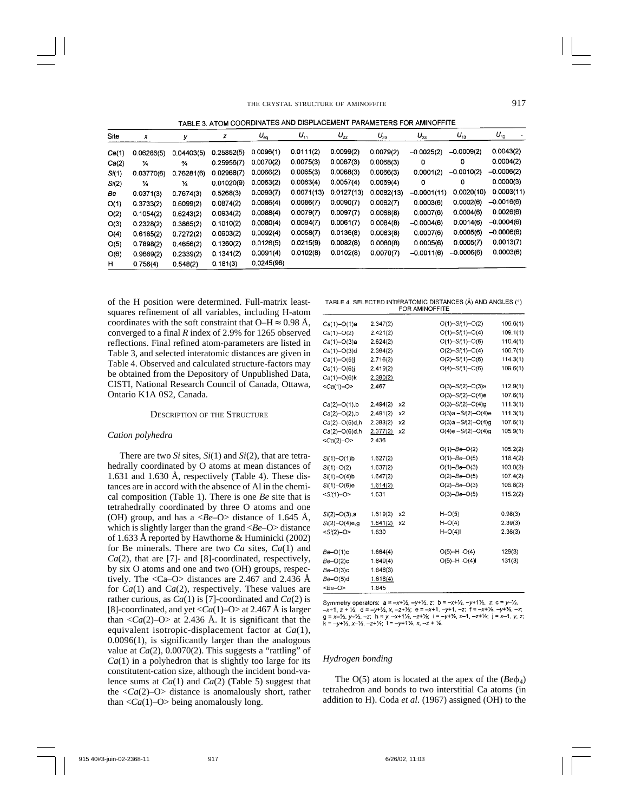TABLE 3 ATOM COORDINATES AND DISPLACEMENT PARAMETERS FOR AMINOFFITE

| Site  | x             | У             | z          | $U_{\rm eq}$ | $U_{11}$   | $U_{22}$   | $U_{33}$   | $U_{23}$      | $U_{13}$     | $U_{12}$     |
|-------|---------------|---------------|------------|--------------|------------|------------|------------|---------------|--------------|--------------|
| Ca(1) | 0.06286(5)    | 0.04403(5)    | 0.25852(5) | 0.0096(1)    | 0.0111(2)  | 0.0099(2)  | 0.0079(2)  | $-0.0025(2)$  | $-0.0009(2)$ | 0.0043(2)    |
| Ca(2) | 14            | $\frac{3}{4}$ | 0.25956(7) | 0.0070(2)    | 0.0075(3)  | 0.0067(3)  | 0.0068(3)  | 0             | 0            | 0.0004(2)    |
| Si(1) | 0.03770(6)    | 0.76281(6)    | 0.02968(7) | 0.0066(2)    | 0.0065(3)  | 0.0068(3)  | 0.0066(3)  | 0.0001(2)     | $-0.0010(2)$ | $-0.0006(2)$ |
| Si(2) | $\frac{1}{4}$ | ¼             | 0.01020(9) | 0.0063(2)    | 0.0063(4)  | 0.0057(4)  | 0.0069(4)  | 0             | 0            | 0.0000(3)    |
| Be    | 0.0371(3)     | 0.7674(3)     | 0.5268(3)  | 0.0093(7)    | 0.0071(13) | 0.0127(13) | 0.0082(13) | $-0.0001(11)$ | 0.0020(10)   | 0.0003(11)   |
| O(1)  | 0.3733(2)     | 0.6099(2)     | 0.0874(2)  | 0.0086(4)    | 0.0086(7)  | 0.0090(7)  | 0.0082(7)  | 0.0003(6)     | 0.0002(6)    | $-0.0016(6)$ |
| O(2)  | 0.1054(2)     | 0.6243(2)     | 0.0934(2)  | 0.0088(4)    | 0.0079(7)  | 0.0097(7)  | 0.0088(8)  | 0.0007(6)     | 0.0004(6)    | 0.0026(6)    |
| O(3)  | 0.2328(2)     | 0.3865(2)     | 0.1010(2)  | 0.0080(4)    | 0.0094(7)  | 0.0061(7)  | 0.0084(8)  | $-0.0004(6)$  | 0.0014(6)    | $-0.0004(6)$ |
| O(4)  | 0.6185(2)     | 0.7272(2)     | 0.0903(2)  | 0.0092(4)    | 0.0058(7)  | 0.0136(8)  | 0.0083(8)  | 0.0007(6)     | 0.0005(6)    | $-0.0006(6)$ |
| O(5)  | 0.7898(2)     | 0.4656(2)     | 0.1360(2)  | 0.0126(5)    | 0.0215(9)  | 0.0082(8)  | 0.0080(8)  | 0.0005(6)     | 0.0005(7)    | 0.0013(7)    |
| O(6)  | 0.9669(2)     | 0.2339(2)     | 0.1341(2)  | 0.0091(4)    | 0.0102(8)  | 0.0102(8)  | 0.0070(7)  | $-0.0011(6)$  | $-0.0006(6)$ | 0.0003(6)    |
| н     | 0.756(4)      | 0.548(2)      | 0.181(3)   | 0.0245(96)   |            |            |            |               |              |              |

of the H position were determined. Full-matrix leastsquares refinement of all variables, including H-atom coordinates with the soft constraint that  $O-H \approx 0.98$  Å, converged to a final *R* index of 2.9% for 1265 observed reflections. Final refined atom-parameters are listed in Table 3, and selected interatomic distances are given in Table 4. Observed and calculated structure-factors may be obtained from the Depository of Unpublished Data, CISTI, National Research Council of Canada, Ottawa, Ontario K1A 0S2, Canada.

#### DESCRIPTION OF THE STRUCTURE

### *Cation polyhedra*

There are two *Si* sites, *Si*(1) and *Si*(2), that are tetrahedrally coordinated by O atoms at mean distances of 1.631 and 1.630 Å, respectively (Table 4). These distances are in accord with the absence of Al in the chemical composition (Table 1). There is one *Be* site that is tetrahedrally coordinated by three O atoms and one (OH) group, and has a <*Be*–O> distance of 1.645 Å, which is slightly larger than the grand <*Be*–O> distance of 1.633 Å reported by Hawthorne & Huminicki (2002) for Be minerals. There are two *Ca* sites, *Ca*(1) and *Ca*(2), that are [7]- and [8]-coordinated, respectively, by six O atoms and one and two (OH) groups, respectively. The  $\langle Ca-O \rangle$  distances are 2.467 and 2.436 Å for *Ca*(1) and *Ca*(2), respectively. These values are rather curious, as *Ca*(1) is [7]-coordinated and *Ca*(2) is [8]-coordinated, and yet  $\langle Ca(1)$ –O> at 2.467 Å is larger than  $\langle Ca(2)-O \rangle$  at 2.436 Å. It is significant that the equivalent isotropic-displacement factor at *Ca*(1), 0.0096(1), is significantly larger than the analogous value at *Ca*(2), 0.0070(2). This suggests a "rattling" of  $Ca(1)$  in a polyhedron that is slightly too large for its constitutent-cation size, although the incident bond-valence sums at *Ca*(1) and *Ca*(2) (Table 5) suggest that the  $\langle Ca(2)-O \rangle$  distance is anomalously short, rather than  $\langle Ca(1)-O \rangle$  being anomalously long.

| TABLE 4. SELECTED INTERATOMIC DISTANCES (Å) AND ANGLES (°) |  |
|------------------------------------------------------------|--|
| <b>EOR AMINOFFITE</b>                                      |  |

| $Ca(1) - O(1)a$     | 2.347(2) |    | $O(1) - Si(1) - O(2)$   | 106.6(1) |
|---------------------|----------|----|-------------------------|----------|
| $Ca(1)-O(2)$        | 2.421(2) |    | $O(1) - Si(1) - O(4)$   | 109.1(1) |
| $Ca(1) - O(3)a$     | 2.624(2) |    | $O(1) - Si(1) - O(6)$   | 110.4(1) |
| $Ca(1)-O(3)d$       | 2.364(2) |    | $O(2) - Si(1) - O(4)$   | 106.7(1) |
| $Ca(1) - O(5)$ j    | 2.716(2) |    | $O(2) - Si(1) - O(6)$   | 114.3(1) |
| $Ca(1) - O(6)$ j    | 2.419(2) |    | $O(4) - Si(1) - O(6)$   | 109.6(1) |
| $Ca(1) - O(6)k$     | 2.380(2) |    |                         |          |
| $<$ Ca(1)-O>        | 2.467    |    | $O(3) - Si(2) - O(3)a$  | 112.9(1) |
|                     |          |    | $O(3) - Si(2) - O(4)e$  | 107.6(1) |
| $Ca(2) - O(1)$ , b  | 2.494(2) | x2 | $O(3) - Si(2) - O(4)g$  | 111.3(1) |
| $Ca(2) - O(2)$ , b  | 2.491(2) | х2 | $O(3)a - Si(2) - O(4)e$ | 111.3(1) |
| $Ca(2) - O(5)d, h$  | 2.383(2) | x2 | $O(3)a - Si(2) - O(4)g$ | 107.6(1) |
| $Ca(2) - O(6)$ d, h | 2.377(2) | x2 | $O(4)e - Si(2) - O(4)g$ | 105.9(1) |
| $<$ Ca(2)-O>        | 2.436    |    |                         |          |
|                     |          |    | $O(1) - Be - O(2)$      | 105.2(2) |
| $Si(1) - O(1)$ b    | 1.627(2) |    | $O(1) - Be - O(5)$      | 118.4(2) |
| $Si(1) - O(2)$      | 1.637(2) |    | $O(1)-Be-O(3)$          | 103.0(2) |
| $Si(1) - O(4)$ b    | 1.647(2) |    | $O(2)-Be-O(5)$          | 107.4(2) |
| $Si(1)-O(6)e$       | 1.614(2) |    | $O(2) - Be - O(3)$      | 106.8(2) |
| $-Si(1)-O>$         | 1.631    |    | $O(3) - Be - O(5)$      | 115.2(2) |
|                     |          |    |                         |          |
| $Si(2) - O(3)$ , a  | 1.619(2) | x2 | $H-O(5)$                | 0.98(3)  |
| $Si(2) - O(4)e$ , g | 1.641(2) | x2 | $H-O(4)$                | 2.39(3)  |
| $-Si(2)-O$ >        | 1.630    |    | $H-O(4)$                | 2.36(3)  |
| $Be-O(1)c$          | 1.664(4) |    | $O(5)$ -H $O(4)$        | 129(3)   |
| $Be-O(2)c$          | 1.649(4) |    | $O(5)$ -H $O(4)$        | 131(3)   |
| $Be-O(3)c$          | 1.648(3) |    |                         |          |
| $Be-O(5)d$          | 1.618(4) |    |                         |          |
| $\leq$ Be-O>        | 1.645    |    |                         |          |

Symmetry operators:  $a = -x+1/2$ ,  $-y+1/2$ ,  $z$ ;  $b = -x+1/2$ ,  $-y+1/2$ ,  $z$ ;  $c = y-1/2$ ,  $-x+1$ ,  $z + \frac{1}{2}$ ;  $d = -y+ \frac{1}{2}$ ,  $x - z + \frac{1}{2}$ ;  $e = -x+1$ ,  $-y+1$ ,  $-z$ ;  $f = -x + \frac{1}{2}$ ,  $-y + \frac{1}{2}$ ,  $-z$ ;  $g = x-2$ ,  $y-2$ ,  $-z$ ;  $h = y$ ,  $-x+1/2$ ,  $-z+2$ ;  $i = -y+2$ ,  $x-1$ ,  $-z+2$ ;  $j = x-1$ ,  $y$ ,  $z$ ;<br> $k = -y+2$ ,  $x-2$ ,  $-z+2$ ;  $1 = -y+1/2$ ,  $x$ ,  $-z + 2$ .

#### *Hydrogen bonding*

The  $O(5)$  atom is located at the apex of the  $(Be\Phi_4)$ tetrahedron and bonds to two interstitial Ca atoms (in addition to H). Coda *et al*. (1967) assigned (OH) to the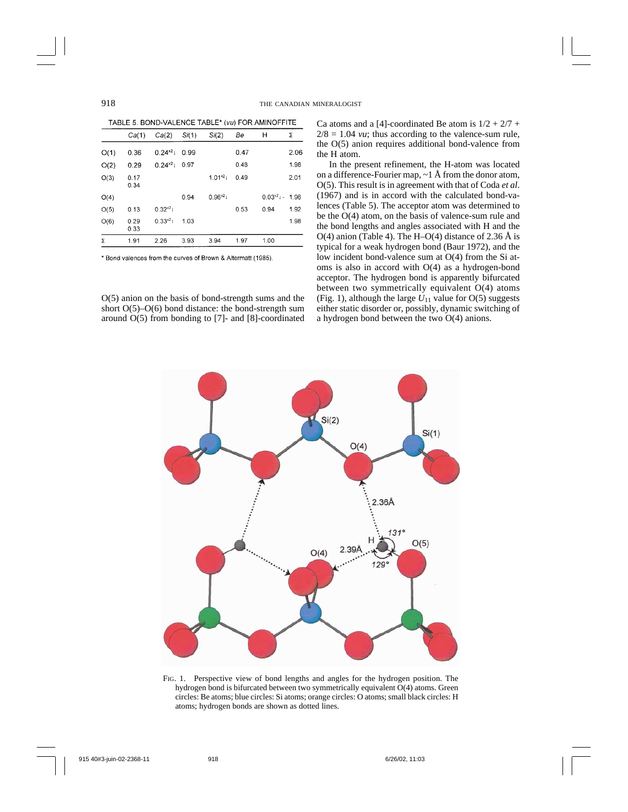TABLE 5. BOND-VALENCE TABLE\* (vu) FOR AMINOFFITE

| Ca(1)        | Ca(2)        | Si(1) | Si(2)       | Be   | н                   | Σ    |
|--------------|--------------|-------|-------------|------|---------------------|------|
| 0.36         | $0.24^{x^2}$ | 0.99  |             | 0.47 |                     | 2.06 |
| 0.29         | $0.24^{x2}$  | 0.97  |             | 0.48 |                     | 1.98 |
| 0.17<br>0.34 |              |       | $1.01^{21}$ | 0.49 |                     | 2.01 |
|              |              | 0.94  | $0.96^{21}$ |      | $0.03^{2}$ i - 1.96 |      |
| 0.13         | $0.32^{x2}1$ |       |             | 0.53 | 0.94                | 1.92 |
| 0.29<br>0.33 | $0.33^{x2}1$ | 1.03  |             |      |                     | 1.98 |
| 1.91         | 2.26         | 3.93  | 3.94        | 1.97 | 1.00                |      |
|              |              |       |             |      |                     |      |

\* Bond valences from the curves of Brown & Altermatt (1985).

O(5) anion on the basis of bond-strength sums and the short O(5)–O(6) bond distance: the bond-strength sum around O(5) from bonding to [7]- and [8]-coordinated Ca atoms and a [4]-coordinated Be atom is  $1/2 + 2/7 +$  $2/8 = 1.04$  *vu*; thus according to the valence-sum rule, the O(5) anion requires additional bond-valence from the H atom.

In the present refinement, the H-atom was located on a difference-Fourier map,  $\sim$  1 Å from the donor atom, O(5). This result is in agreement with that of Coda *et al*. (1967) and is in accord with the calculated bond-valences (Table 5). The acceptor atom was determined to be the O(4) atom, on the basis of valence-sum rule and the bond lengths and angles associated with H and the O(4) anion (Table 4). The H–O(4) distance of 2.36 Å is typical for a weak hydrogen bond (Baur 1972), and the low incident bond-valence sum at O(4) from the Si atoms is also in accord with O(4) as a hydrogen-bond acceptor. The hydrogen bond is apparently bifurcated between two symmetrically equivalent O(4) atoms (Fig. 1), although the large  $U_{11}$  value for O(5) suggests either static disorder or, possibly, dynamic switching of a hydrogen bond between the two O(4) anions.



FIG. 1. Perspective view of bond lengths and angles for the hydrogen position. The hydrogen bond is bifurcated between two symmetrically equivalent O(4) atoms. Green circles: Be atoms; blue circles: Si atoms; orange circles: O atoms; small black circles: H atoms; hydrogen bonds are shown as dotted lines.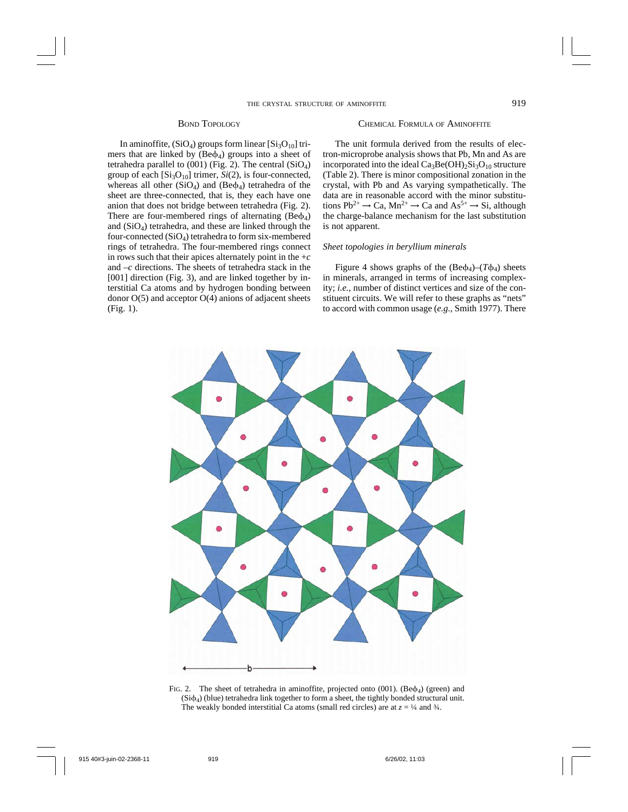## BOND TOPOLOGY

In aminoffite,  $(SiO_4)$  groups form linear  $[Si_3O_{10}]$  trimers that are linked by  $(Be\phi_4)$  groups into a sheet of tetrahedra parallel to  $(001)$  (Fig. 2). The central  $(SiO<sub>4</sub>)$ group of each  $[Si_3O_{10}]$  trimer,  $Si(2)$ , is four-connected, whereas all other  $(SiO<sub>4</sub>)$  and  $(Be<sub>4</sub>)$  tetrahedra of the sheet are three-connected, that is, they each have one anion that does not bridge between tetrahedra (Fig. 2). There are four-membered rings of alternating  $(Be\phi_4)$ and  $(SiO<sub>4</sub>)$  tetrahedra, and these are linked through the four-connected  $(SiO<sub>4</sub>)$  tetrahedra to form six-membered rings of tetrahedra. The four-membered rings connect in rows such that their apices alternately point in the  $+c$ and –*c* directions. The sheets of tetrahedra stack in the [001] direction (Fig. 3), and are linked together by interstitial Ca atoms and by hydrogen bonding between donor  $O(5)$  and acceptor  $O(4)$  anions of adjacent sheets (Fig. 1).

### CHEMICAL FORMULA OF AMINOFFITE

The unit formula derived from the results of electron-microprobe analysis shows that Pb, Mn and As are incorporated into the ideal  $Ca<sub>3</sub>Be(OH)<sub>2</sub>Si<sub>3</sub>O<sub>10</sub>$  structure (Table 2). There is minor compositional zonation in the crystal, with Pb and As varying sympathetically. The data are in reasonable accord with the minor substitutions  $Pb^{2+} \rightarrow Ca$ ,  $Mn^{2+} \rightarrow Ca$  and  $As^{5+} \rightarrow Si$ , although the charge-balance mechanism for the last substitution is not apparent.

### *Sheet topologies in beryllium minerals*

Figure 4 shows graphs of the  $(Be\phi_4)-(T\phi_4)$  sheets in minerals, arranged in terms of increasing complexity; *i.e.*, number of distinct vertices and size of the constituent circuits. We will refer to these graphs as "nets" to accord with common usage (*e.g.*, Smith 1977). There



FIG. 2. The sheet of tetrahedra in aminoffite, projected onto  $(001)$ . (Be $\phi_4$ ) (green) and  $(Si\phi_4)$  (blue) tetrahedra link together to form a sheet, the tightly bonded structural unit. The weakly bonded interstitial Ca atoms (small red circles) are at  $z = \frac{1}{4}$  and  $\frac{3}{4}$ .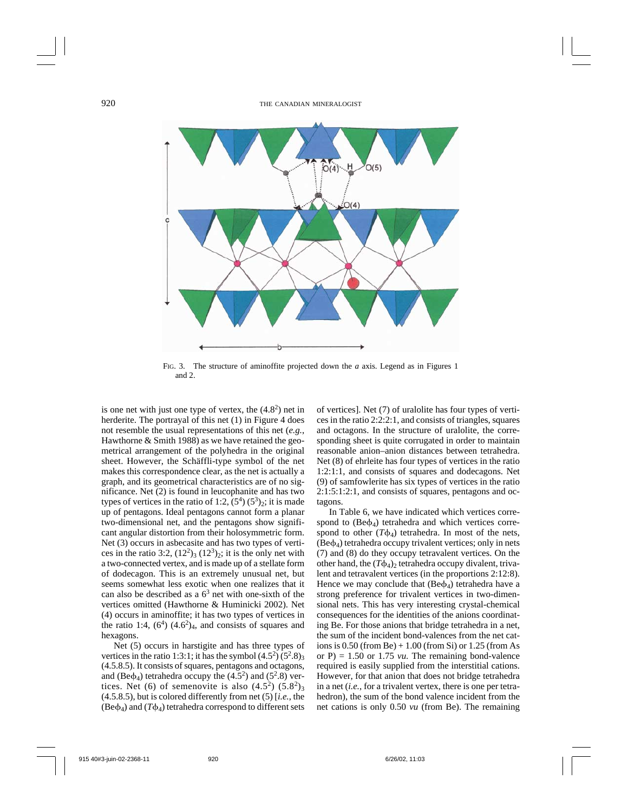

FIG. 3. The structure of aminoffite projected down the *a* axis. Legend as in Figures 1 and 2.

is one net with just one type of vertex, the  $(4.8<sup>2</sup>)$  net in herderite. The portrayal of this net (1) in Figure 4 does not resemble the usual representations of this net (*e.g.*, Hawthorne & Smith 1988) as we have retained the geometrical arrangement of the polyhedra in the original sheet. However, the Schäffli-type symbol of the net makes this correspondence clear, as the net is actually a graph, and its geometrical characteristics are of no significance. Net (2) is found in leucophanite and has two types of vertices in the ratio of 1:2,  $(5^4)$   $(5^3)_2$ ; it is made up of pentagons. Ideal pentagons cannot form a planar two-dimensional net, and the pentagons show significant angular distortion from their holosymmetric form. Net (3) occurs in asbecasite and has two types of vertices in the ratio 3:2,  $(12^2)_3$   $(12^3)_2$ ; it is the only net with a two-connected vertex, and is made up of a stellate form of dodecagon. This is an extremely unusual net, but seems somewhat less exotic when one realizes that it can also be described as a  $6<sup>3</sup>$  net with one-sixth of the vertices omitted (Hawthorne & Huminicki 2002). Net (4) occurs in aminoffite; it has two types of vertices in the ratio 1:4,  $(6^4)$   $(4.6^2)_4$ , and consists of squares and hexagons.

Net (5) occurs in harstigite and has three types of vertices in the ratio 1:3:1; it has the symbol  $(4.5^2)$   $(5^2.8)_3$ (4.5.8.5). It consists of squares, pentagons and octagons, and (Be $\phi$ <sub>4</sub>) tetrahedra occupy the (4.5<sup>2</sup>) and (5<sup>2</sup>.8) vertices. Net (6) of semenovite is also  $(4.5^2)$   $(5.8^2)$ <sub>3</sub> (4.5.8.5), but is colored differently from net (5) [*i.e.*, the  $(Be\phi_4)$  and  $(T\phi_4)$  tetrahedra correspond to different sets of vertices]. Net (7) of uralolite has four types of vertices in the ratio 2:2:2:1, and consists of triangles, squares and octagons. In the structure of uralolite, the corresponding sheet is quite corrugated in order to maintain reasonable anion–anion distances between tetrahedra. Net (8) of ehrleite has four types of vertices in the ratio 1:2:1:1, and consists of squares and dodecagons. Net (9) of samfowlerite has six types of vertices in the ratio 2:1:5:1:2:1, and consists of squares, pentagons and octagons.

In Table 6, we have indicated which vertices correspond to  $(Be\phi_4)$  tetrahedra and which vertices correspond to other  $(T\phi_4)$  tetrahedra. In most of the nets,  $(Be\phi_4)$  tetrahedra occupy trivalent vertices; only in nets (7) and (8) do they occupy tetravalent vertices. On the other hand, the  $(T\phi_4)$ <sub>2</sub> tetrahedra occupy divalent, trivalent and tetravalent vertices (in the proportions 2:12:8). Hence we may conclude that  $(Be\phi_4)$  tetrahedra have a strong preference for trivalent vertices in two-dimensional nets. This has very interesting crystal-chemical consequences for the identities of the anions coordinating Be. For those anions that bridge tetrahedra in a net, the sum of the incident bond-valences from the net cations is  $0.50$  (from Be)  $+1.00$  (from Si) or  $1.25$  (from As or  $P$ ) = 1.50 or 1.75 *vu*. The remaining bond-valence required is easily supplied from the interstitial cations. However, for that anion that does not bridge tetrahedra in a net (*i.e.*, for a trivalent vertex, there is one per tetrahedron), the sum of the bond valence incident from the net cations is only 0.50 *vu* (from Be). The remaining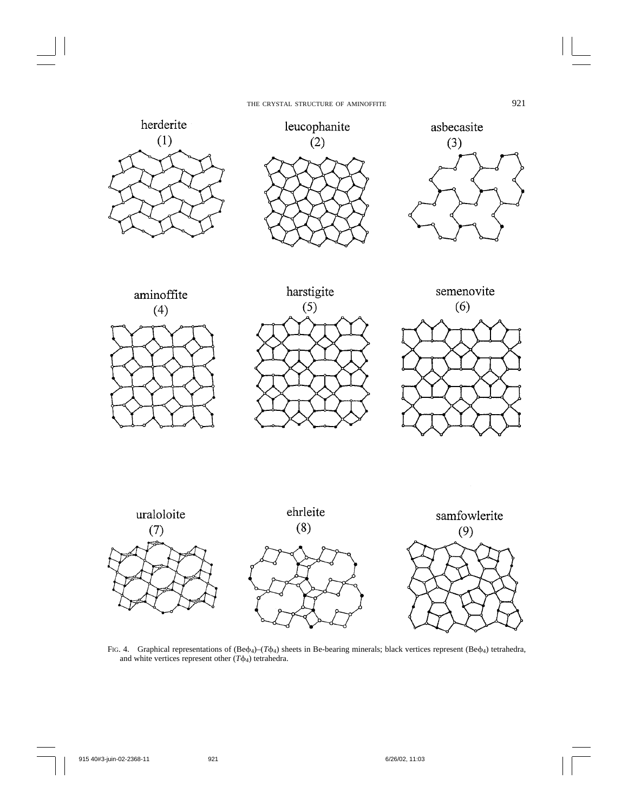

FIG. 4. Graphical representations of (Be $\phi_4$ )–(*T* $\phi_4$ ) sheets in Be-bearing minerals; black vertices represent (Be $\phi_4$ ) tetrahedra, and white vertices represent other  $(T\phi_4)$  tetrahedra.